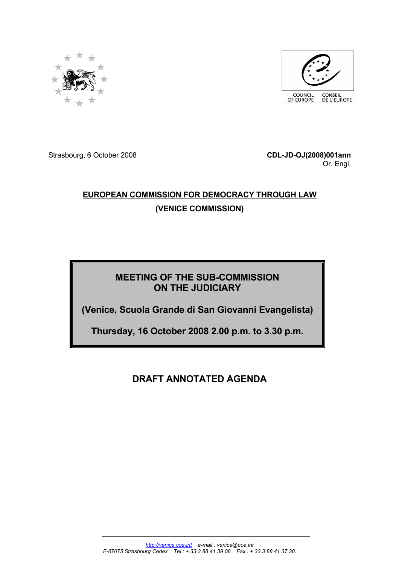



Strasbourg, 6 October 2008 **CDL-JD-OJ(2008)001ann**

Or. Engl.

# **EUROPEAN COMMISSION FOR DEMOCRACY THROUGH LAW (VENICE COMMISSION)**

# **MEETING OF THE SUB-COMMISSION ON THE JUDICIARY**

**(Venice, Scuola Grande di San Giovanni Evangelista)** 

**Thursday, 16 October 2008 2.00 p.m. to 3.30 p.m.**

**DRAFT ANNOTATED AGENDA**